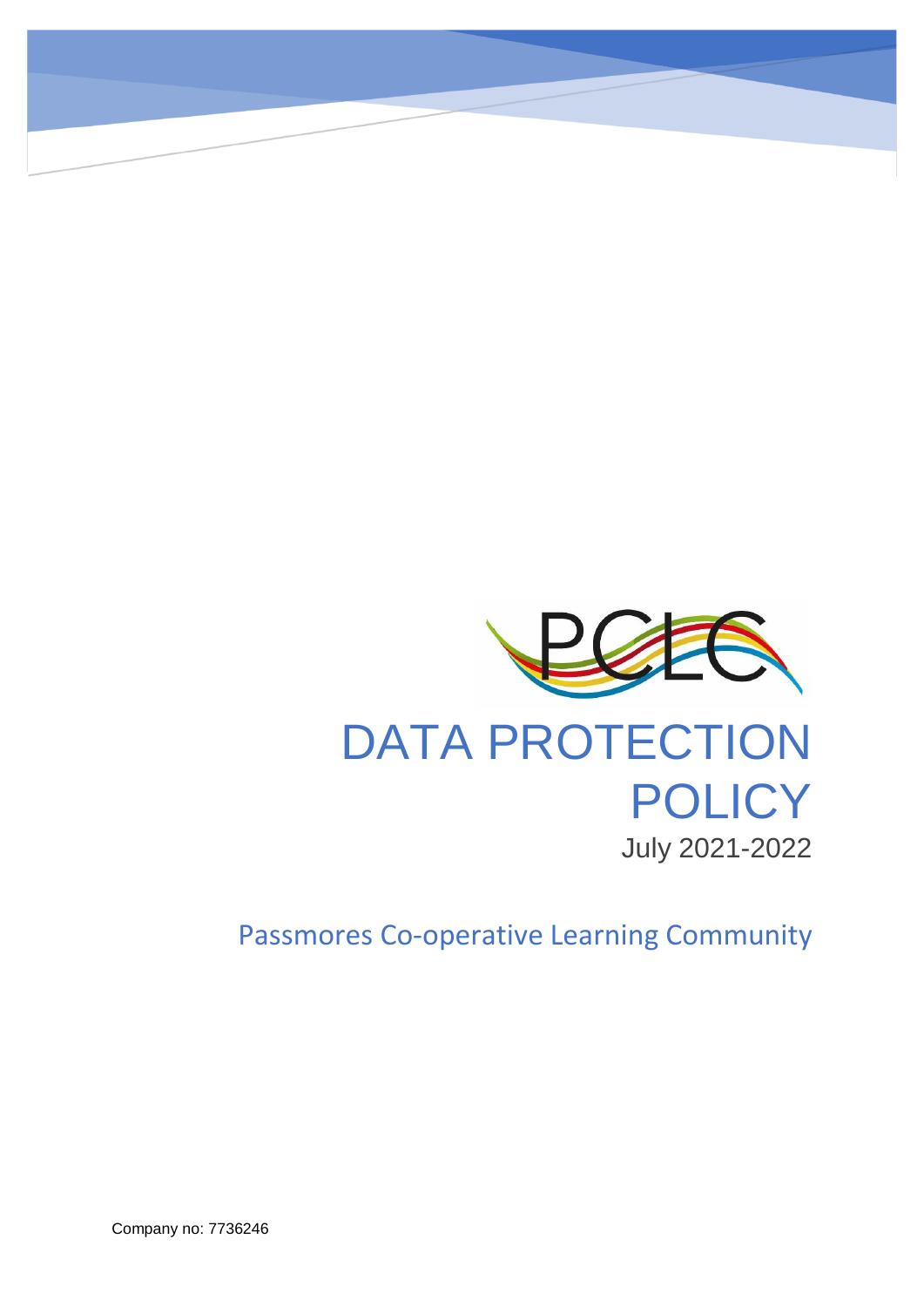

Passmores Co-operative Learning Community

Company no: 7736246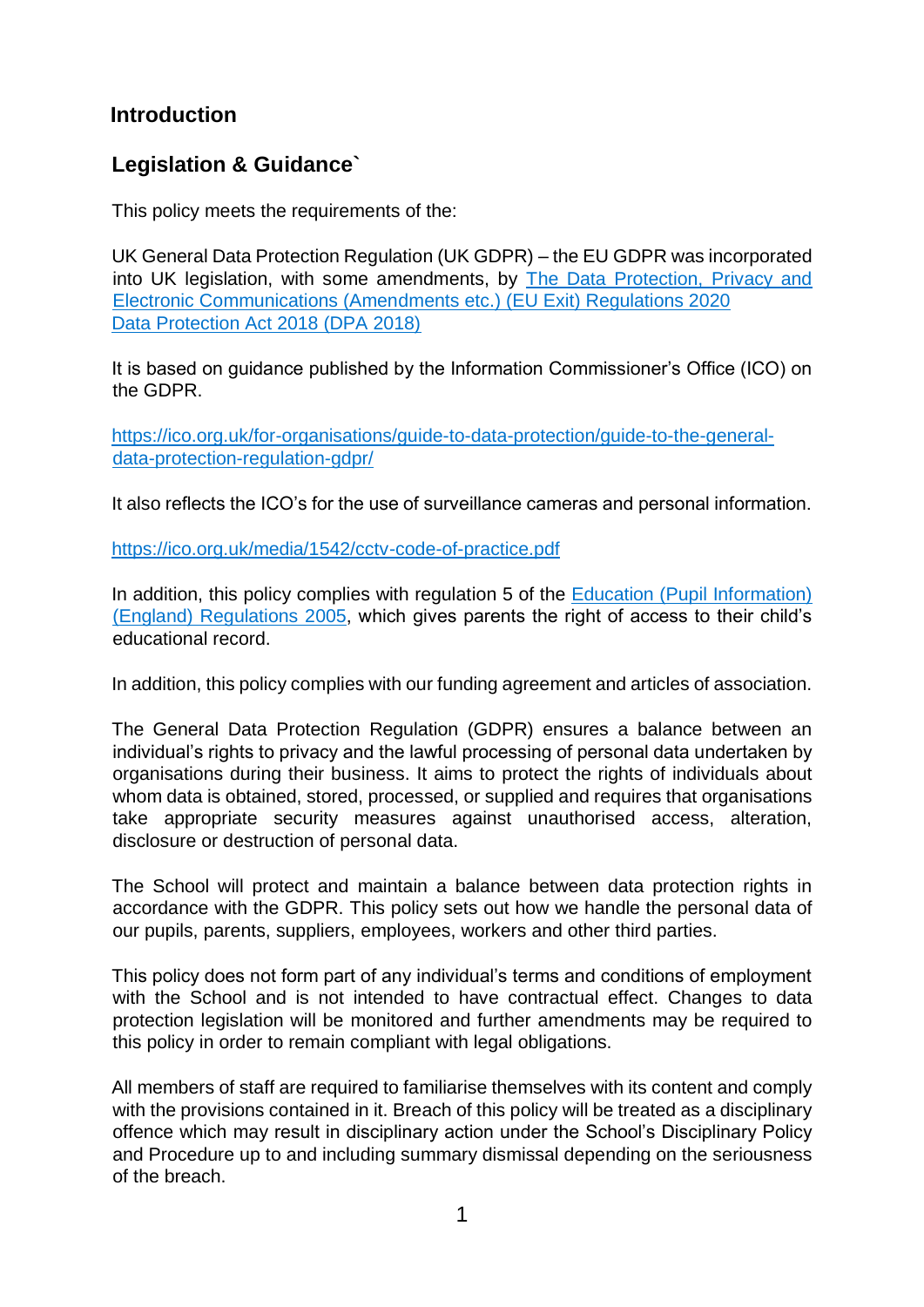# **Introduction**

# **Legislation & Guidance`**

This policy meets the requirements of the:

UK General Data Protection Regulation (UK GDPR) – the EU GDPR was incorporated into UK legislation, with some amendments, by [The Data Protection, Privacy and](https://www.legislation.gov.uk/uksi/2020/1586/made)  [Electronic Communications \(Amendments etc.\) \(EU Exit\) Regulations 2020](https://www.legislation.gov.uk/uksi/2020/1586/made) [Data Protection Act 2018 \(DPA 2018\)](http://www.legislation.gov.uk/ukpga/2018/12/contents/enacted)

It is based on guidance published by the Information Commissioner's Office (ICO) on the GDPR.

[https://ico.org.uk/for-organisations/guide-to-data-protection/guide-to-the-general](https://ico.org.uk/for-organisations/guide-to-data-protection/guide-to-the-general-data-protection-regulation-gdpr/)[data-protection-regulation-gdpr/](https://ico.org.uk/for-organisations/guide-to-data-protection/guide-to-the-general-data-protection-regulation-gdpr/)

It also reflects the ICO's for the use of surveillance cameras and personal information.

<https://ico.org.uk/media/1542/cctv-code-of-practice.pdf>

In addition, this policy complies with regulation 5 of the Education (Pupil Information) [\(England\) Regulations 2005,](http://www.legislation.gov.uk/uksi/2005/1437/regulation/5/made) which gives parents the right of access to their child's educational record.

In addition, this policy complies with our funding agreement and articles of association.

The General Data Protection Regulation (GDPR) ensures a balance between an individual's rights to privacy and the lawful processing of personal data undertaken by organisations during their business. It aims to protect the rights of individuals about whom data is obtained, stored, processed, or supplied and requires that organisations take appropriate security measures against unauthorised access, alteration, disclosure or destruction of personal data.

The School will protect and maintain a balance between data protection rights in accordance with the GDPR. This policy sets out how we handle the personal data of our pupils, parents, suppliers, employees, workers and other third parties.

This policy does not form part of any individual's terms and conditions of employment with the School and is not intended to have contractual effect. Changes to data protection legislation will be monitored and further amendments may be required to this policy in order to remain compliant with legal obligations.

All members of staff are required to familiarise themselves with its content and comply with the provisions contained in it. Breach of this policy will be treated as a disciplinary offence which may result in disciplinary action under the School's Disciplinary Policy and Procedure up to and including summary dismissal depending on the seriousness of the breach.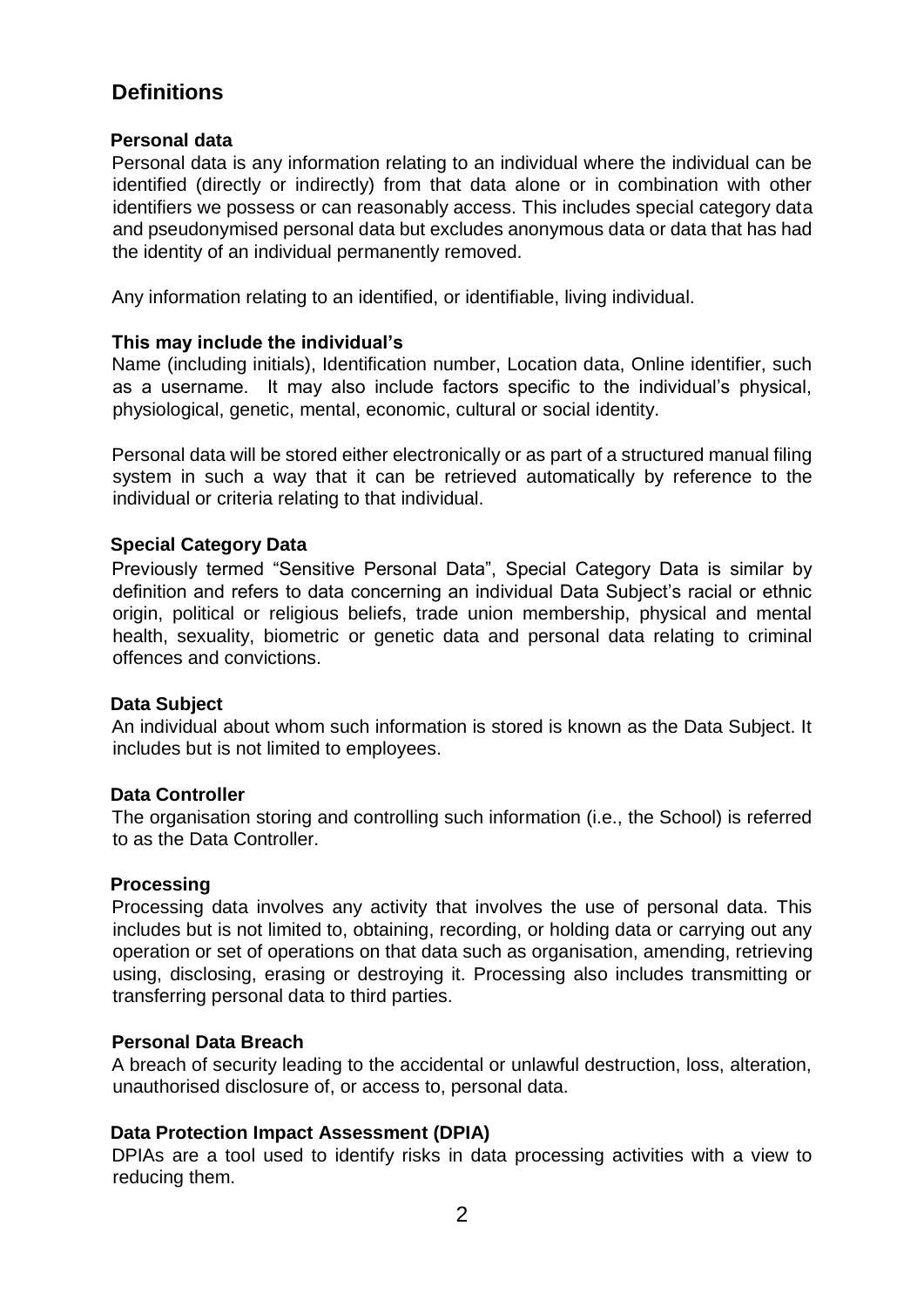# **Definitions**

### **Personal data**

Personal data is any information relating to an individual where the individual can be identified (directly or indirectly) from that data alone or in combination with other identifiers we possess or can reasonably access. This includes special category data and pseudonymised personal data but excludes anonymous data or data that has had the identity of an individual permanently removed.

Any information relating to an identified, or identifiable, living individual.

### **This may include the individual's**

Name (including initials), Identification number, Location data, Online identifier, such as a username. It may also include factors specific to the individual's physical, physiological, genetic, mental, economic, cultural or social identity.

Personal data will be stored either electronically or as part of a structured manual filing system in such a way that it can be retrieved automatically by reference to the individual or criteria relating to that individual.

### **Special Category Data**

Previously termed "Sensitive Personal Data", Special Category Data is similar by definition and refers to data concerning an individual Data Subject's racial or ethnic origin, political or religious beliefs, trade union membership, physical and mental health, sexuality, biometric or genetic data and personal data relating to criminal offences and convictions.

### **Data Subject**

An individual about whom such information is stored is known as the Data Subject. It includes but is not limited to employees.

### **Data Controller**

The organisation storing and controlling such information (i.e., the School) is referred to as the Data Controller.

### **Processing**

Processing data involves any activity that involves the use of personal data. This includes but is not limited to, obtaining, recording, or holding data or carrying out any operation or set of operations on that data such as organisation, amending, retrieving using, disclosing, erasing or destroying it. Processing also includes transmitting or transferring personal data to third parties.

### **Personal Data Breach**

A breach of security leading to the accidental or unlawful destruction, loss, alteration, unauthorised disclosure of, or access to, personal data.

### **Data Protection Impact Assessment (DPIA)**

DPIAs are a tool used to identify risks in data processing activities with a view to reducing them.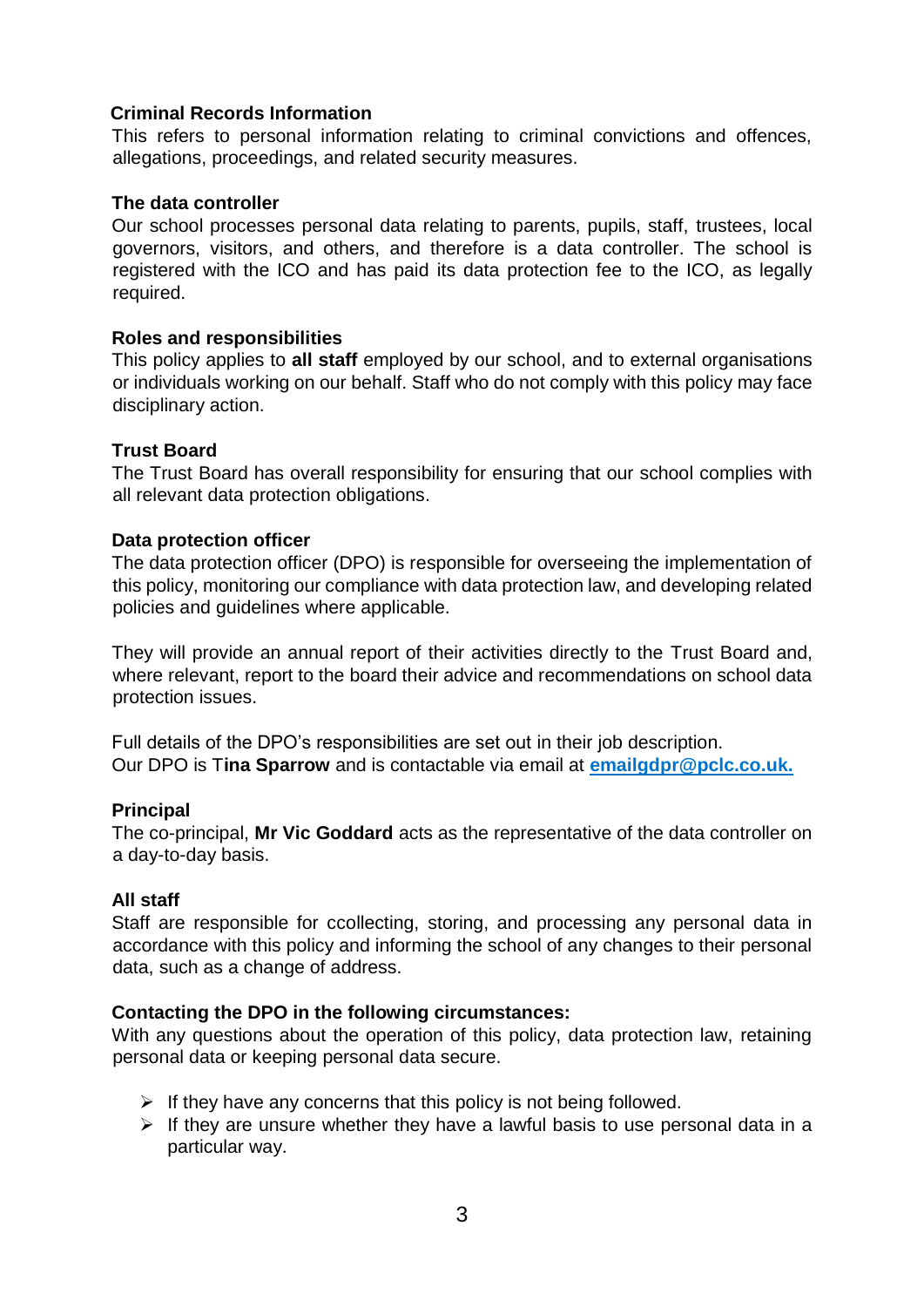### **Criminal Records Information**

This refers to personal information relating to criminal convictions and offences, allegations, proceedings, and related security measures.

### **The data controller**

Our school processes personal data relating to parents, pupils, staff, trustees, local governors, visitors, and others, and therefore is a data controller. The school is registered with the ICO and has paid its data protection fee to the ICO, as legally required.

### **Roles and responsibilities**

This policy applies to **all staff** employed by our school, and to external organisations or individuals working on our behalf. Staff who do not comply with this policy may face disciplinary action.

### **Trust Board**

The Trust Board has overall responsibility for ensuring that our school complies with all relevant data protection obligations.

### **Data protection officer**

The data protection officer (DPO) is responsible for overseeing the implementation of this policy, monitoring our compliance with data protection law, and developing related policies and guidelines where applicable.

They will provide an annual report of their activities directly to the Trust Board and, where relevant, report to the board their advice and recommendations on school data protection issues.

Full details of the DPO's responsibilities are set out in their job description. Our DPO is T**ina Sparrow** and is contactable via email at **[emailgdpr@pclc.co.uk.](mailto:emailgdpr@pclc.co.uk.)**

### **Principal**

The co-principal, **Mr Vic Goddard** acts as the representative of the data controller on a day-to-day basis.

### **All staff**

Staff are responsible for ccollecting, storing, and processing any personal data in accordance with this policy and informing the school of any changes to their personal data, such as a change of address.

### **Contacting the DPO in the following circumstances:**

With any questions about the operation of this policy, data protection law, retaining personal data or keeping personal data secure.

- $\triangleright$  If they have any concerns that this policy is not being followed.
- $\triangleright$  If they are unsure whether they have a lawful basis to use personal data in a particular way.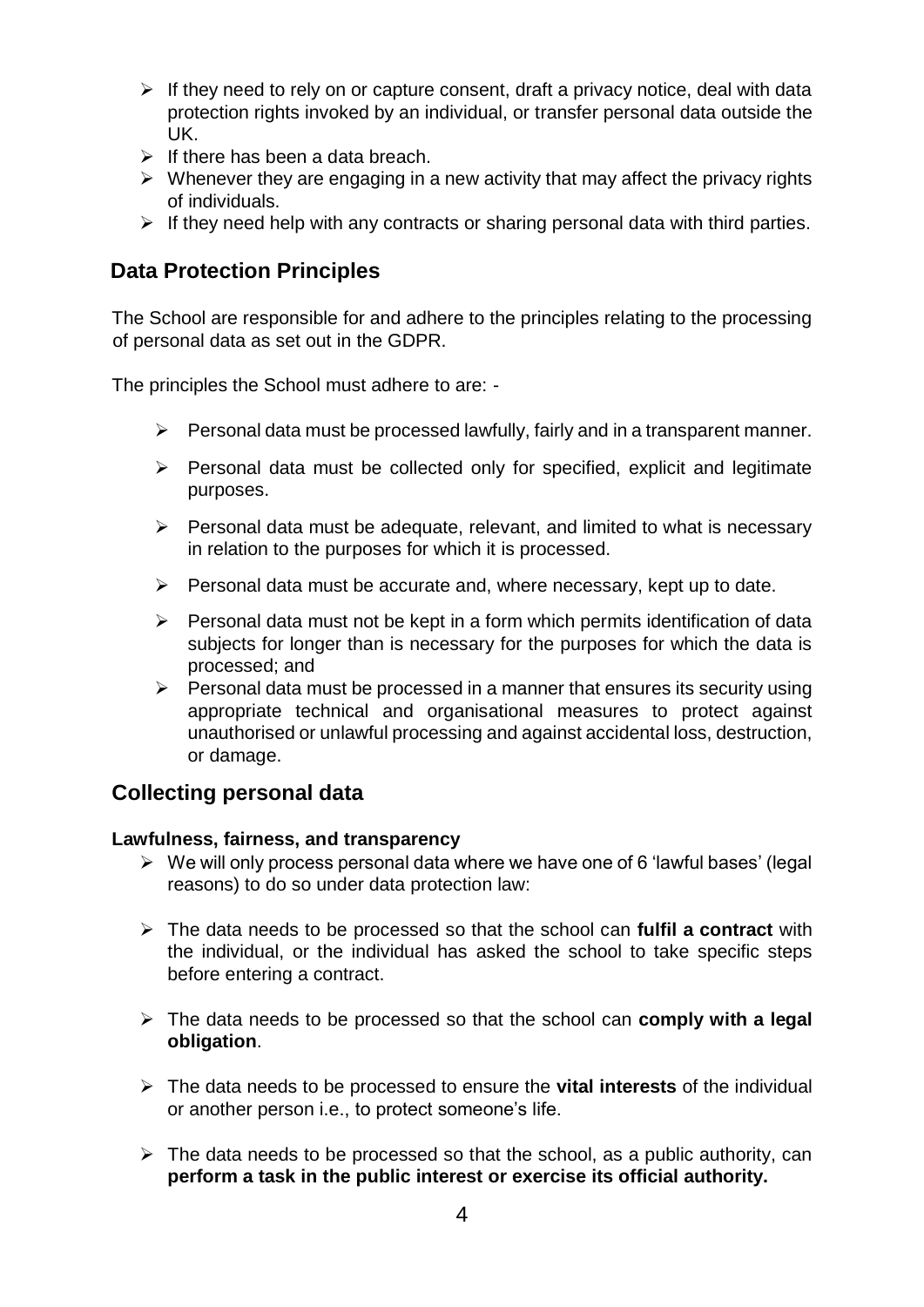- $\triangleright$  If they need to rely on or capture consent, draft a privacy notice, deal with data protection rights invoked by an individual, or transfer personal data outside the UK.
- $\triangleright$  If there has been a data breach.
- $\triangleright$  Whenever they are engaging in a new activity that may affect the privacy rights of individuals.
- $\triangleright$  If they need help with any contracts or sharing personal data with third parties.

## **Data Protection Principles**

The School are responsible for and adhere to the principles relating to the processing of personal data as set out in the GDPR.

The principles the School must adhere to are: -

- $\triangleright$  Personal data must be processed lawfully, fairly and in a transparent manner.
- ➢ Personal data must be collected only for specified, explicit and legitimate purposes.
- $\triangleright$  Personal data must be adequate, relevant, and limited to what is necessary in relation to the purposes for which it is processed.
- $\triangleright$  Personal data must be accurate and, where necessary, kept up to date.
- $\triangleright$  Personal data must not be kept in a form which permits identification of data subjects for longer than is necessary for the purposes for which the data is processed; and
- $\triangleright$  Personal data must be processed in a manner that ensures its security using appropriate technical and organisational measures to protect against unauthorised or unlawful processing and against accidental loss, destruction, or damage.

### **Collecting personal data**

### **Lawfulness, fairness, and transparency**

- ➢ We will only process personal data where we have one of 6 'lawful bases' (legal reasons) to do so under data protection law:
- ➢ The data needs to be processed so that the school can **fulfil a contract** with the individual, or the individual has asked the school to take specific steps before entering a contract.
- ➢ The data needs to be processed so that the school can **comply with a legal obligation**.
- ➢ The data needs to be processed to ensure the **vital interests** of the individual or another person i.e., to protect someone's life.
- $\triangleright$  The data needs to be processed so that the school, as a public authority, can **perform a task in the public interest or exercise its official authority.**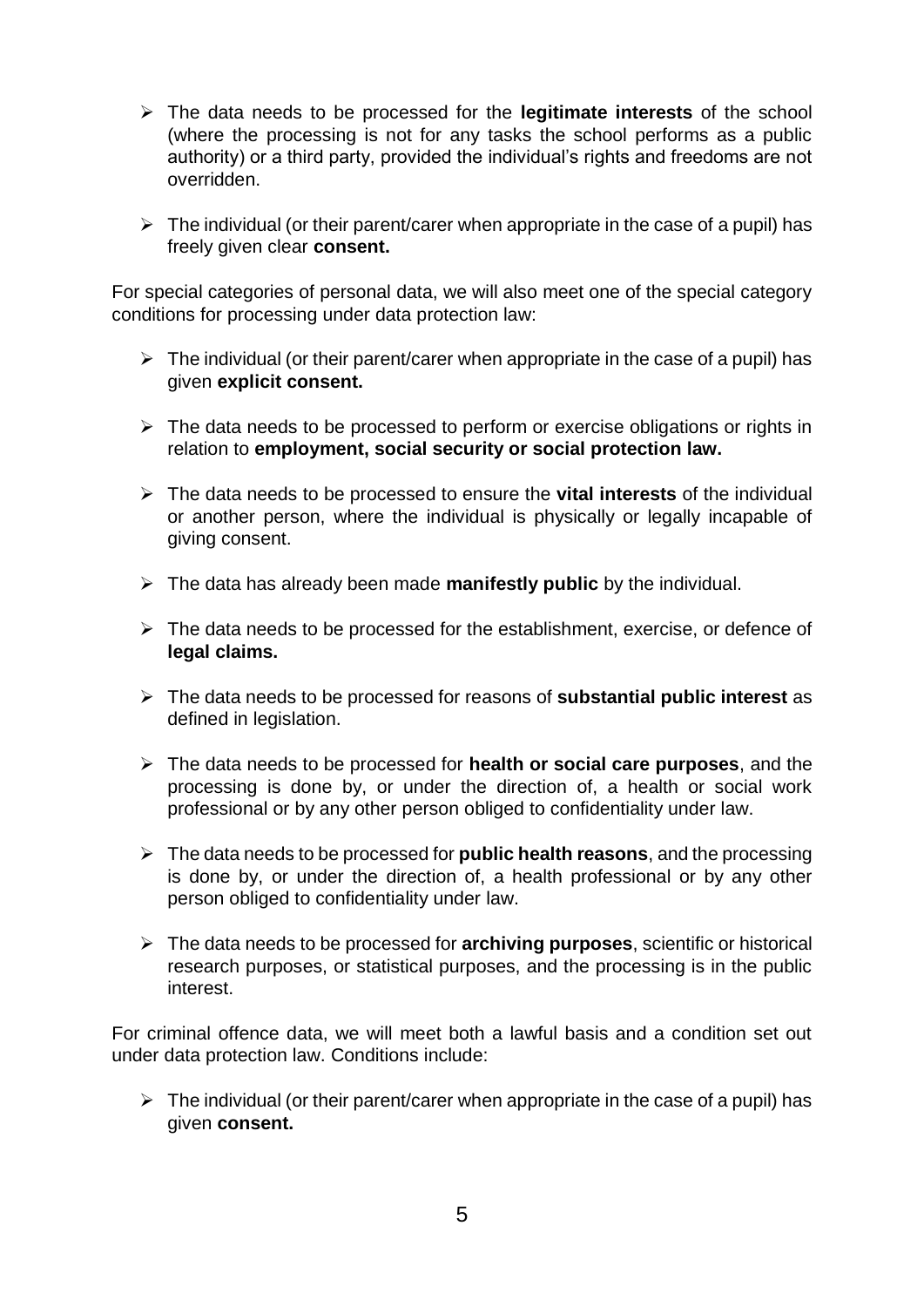- ➢ The data needs to be processed for the **legitimate interests** of the school (where the processing is not for any tasks the school performs as a public authority) or a third party, provided the individual's rights and freedoms are not overridden.
- $\triangleright$  The individual (or their parent/carer when appropriate in the case of a pupil) has freely given clear **consent.**

For special categories of personal data, we will also meet one of the special category conditions for processing under data protection law:

- $\triangleright$  The individual (or their parent/carer when appropriate in the case of a pupil) has given **explicit consent.**
- $\triangleright$  The data needs to be processed to perform or exercise obligations or rights in relation to **employment, social security or social protection law.**
- ➢ The data needs to be processed to ensure the **vital interests** of the individual or another person, where the individual is physically or legally incapable of giving consent.
- ➢ The data has already been made **manifestly public** by the individual.
- ➢ The data needs to be processed for the establishment, exercise, or defence of **legal claims.**
- ➢ The data needs to be processed for reasons of **substantial public interest** as defined in legislation.
- ➢ The data needs to be processed for **health or social care purposes**, and the processing is done by, or under the direction of, a health or social work professional or by any other person obliged to confidentiality under law.
- ➢ The data needs to be processed for **public health reasons**, and the processing is done by, or under the direction of, a health professional or by any other person obliged to confidentiality under law.
- ➢ The data needs to be processed for **archiving purposes**, scientific or historical research purposes, or statistical purposes, and the processing is in the public interest.

For criminal offence data, we will meet both a lawful basis and a condition set out under data protection law. Conditions include:

 $\triangleright$  The individual (or their parent/carer when appropriate in the case of a pupil) has given **consent.**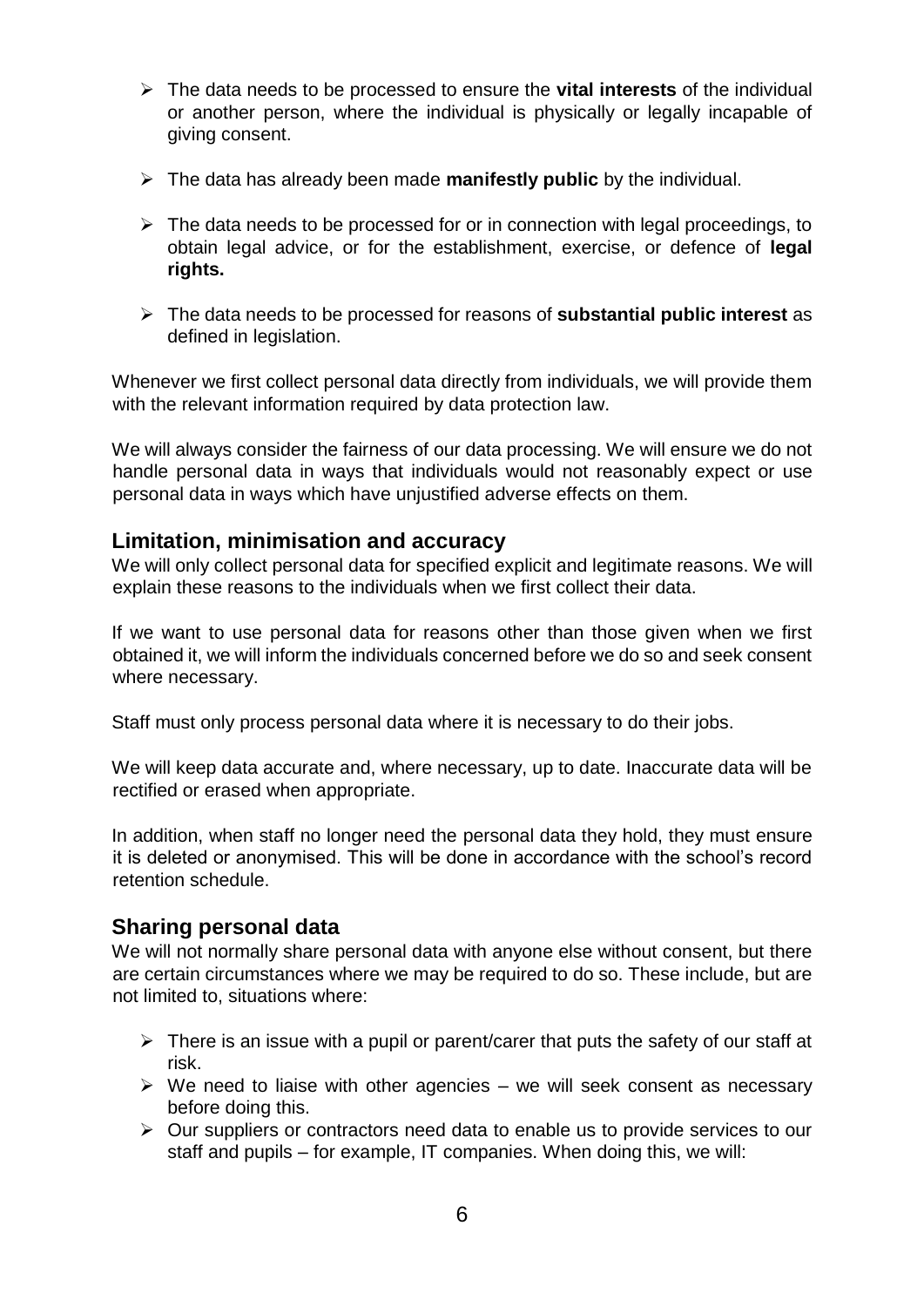- ➢ The data needs to be processed to ensure the **vital interests** of the individual or another person, where the individual is physically or legally incapable of giving consent.
- ➢ The data has already been made **manifestly public** by the individual.
- $\triangleright$  The data needs to be processed for or in connection with legal proceedings, to obtain legal advice, or for the establishment, exercise, or defence of **legal rights.**
- ➢ The data needs to be processed for reasons of **substantial public interest** as defined in legislation.

Whenever we first collect personal data directly from individuals, we will provide them with the relevant information required by data protection law.

We will always consider the fairness of our data processing. We will ensure we do not handle personal data in ways that individuals would not reasonably expect or use personal data in ways which have unjustified adverse effects on them.

### **Limitation, minimisation and accuracy**

We will only collect personal data for specified explicit and legitimate reasons. We will explain these reasons to the individuals when we first collect their data.

If we want to use personal data for reasons other than those given when we first obtained it, we will inform the individuals concerned before we do so and seek consent where necessary.

Staff must only process personal data where it is necessary to do their jobs.

We will keep data accurate and, where necessary, up to date. Inaccurate data will be rectified or erased when appropriate.

In addition, when staff no longer need the personal data they hold, they must ensure it is deleted or anonymised. This will be done in accordance with the school's record retention schedule.

### **Sharing personal data**

We will not normally share personal data with anyone else without consent, but there are certain circumstances where we may be required to do so. These include, but are not limited to, situations where:

- $\triangleright$  There is an issue with a pupil or parent/carer that puts the safety of our staff at risk.
- $\triangleright$  We need to liaise with other agencies we will seek consent as necessary before doing this.
- ➢ Our suppliers or contractors need data to enable us to provide services to our staff and pupils – for example, IT companies. When doing this, we will: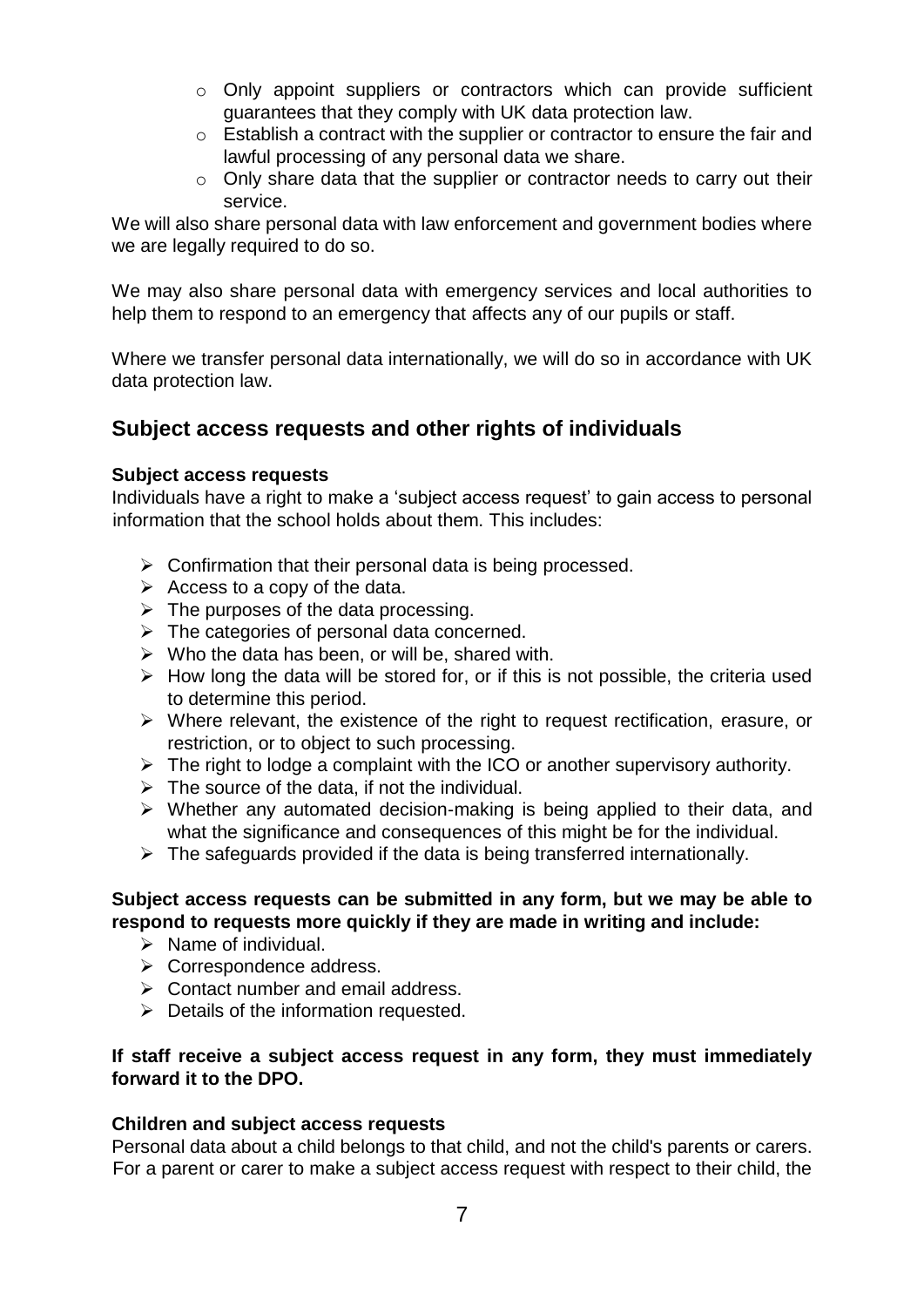- $\circ$  Only appoint suppliers or contractors which can provide sufficient guarantees that they comply with UK data protection law.
- o Establish a contract with the supplier or contractor to ensure the fair and lawful processing of any personal data we share.
- o Only share data that the supplier or contractor needs to carry out their service.

We will also share personal data with law enforcement and government bodies where we are legally required to do so.

We may also share personal data with emergency services and local authorities to help them to respond to an emergency that affects any of our pupils or staff.

Where we transfer personal data internationally, we will do so in accordance with UK data protection law.

## **Subject access requests and other rights of individuals**

### **Subject access requests**

Individuals have a right to make a 'subject access request' to gain access to personal information that the school holds about them. This includes:

- $\triangleright$  Confirmation that their personal data is being processed.
- $\triangleright$  Access to a copy of the data.
- $\triangleright$  The purposes of the data processing.
- $\triangleright$  The categories of personal data concerned.
- $\triangleright$  Who the data has been, or will be, shared with.
- $\triangleright$  How long the data will be stored for, or if this is not possible, the criteria used to determine this period.
- ➢ Where relevant, the existence of the right to request rectification, erasure, or restriction, or to object to such processing.
- $\triangleright$  The right to lodge a complaint with the ICO or another supervisory authority.
- $\triangleright$  The source of the data, if not the individual.
- ➢ Whether any automated decision-making is being applied to their data, and what the significance and consequences of this might be for the individual.
- $\triangleright$  The safeguards provided if the data is being transferred internationally.

### **Subject access requests can be submitted in any form, but we may be able to respond to requests more quickly if they are made in writing and include:**

- $\triangleright$  Name of individual.
- ➢ Correspondence address.
- $\triangleright$  Contact number and email address.
- ➢ Details of the information requested.

### **If staff receive a subject access request in any form, they must immediately forward it to the DPO.**

### **Children and subject access requests**

Personal data about a child belongs to that child, and not the child's parents or carers. For a parent or carer to make a subject access request with respect to their child, the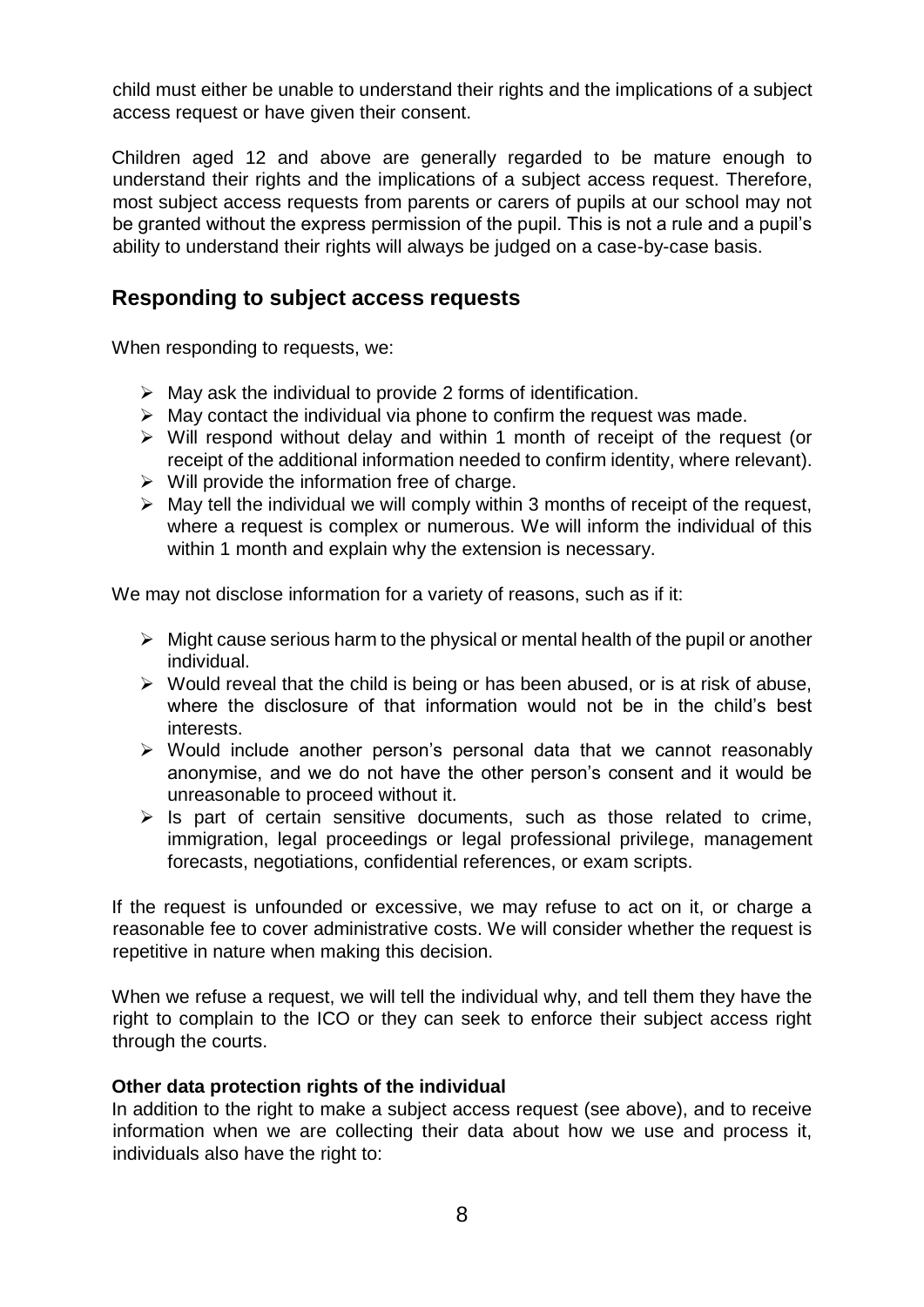child must either be unable to understand their rights and the implications of a subject access request or have given their consent.

Children aged 12 and above are generally regarded to be mature enough to understand their rights and the implications of a subject access request. Therefore, most subject access requests from parents or carers of pupils at our school may not be granted without the express permission of the pupil. This is not a rule and a pupil's ability to understand their rights will always be judged on a case-by-case basis.

### **Responding to subject access requests**

When responding to requests, we:

- $\triangleright$  May ask the individual to provide 2 forms of identification.
- $\triangleright$  May contact the individual via phone to confirm the request was made.
- ➢ Will respond without delay and within 1 month of receipt of the request (or receipt of the additional information needed to confirm identity, where relevant).
- $\triangleright$  Will provide the information free of charge.
- $\triangleright$  May tell the individual we will comply within 3 months of receipt of the request, where a request is complex or numerous. We will inform the individual of this within 1 month and explain why the extension is necessary.

We may not disclose information for a variety of reasons, such as if it:

- $\triangleright$  Might cause serious harm to the physical or mental health of the pupil or another individual.
- $\triangleright$  Would reveal that the child is being or has been abused, or is at risk of abuse, where the disclosure of that information would not be in the child's best interests.
- ➢ Would include another person's personal data that we cannot reasonably anonymise, and we do not have the other person's consent and it would be unreasonable to proceed without it.
- $\triangleright$  Is part of certain sensitive documents, such as those related to crime, immigration, legal proceedings or legal professional privilege, management forecasts, negotiations, confidential references, or exam scripts.

If the request is unfounded or excessive, we may refuse to act on it, or charge a reasonable fee to cover administrative costs. We will consider whether the request is repetitive in nature when making this decision.

When we refuse a request, we will tell the individual why, and tell them they have the right to complain to the ICO or they can seek to enforce their subject access right through the courts.

### **Other data protection rights of the individual**

In addition to the right to make a subject access request (see above), and to receive information when we are collecting their data about how we use and process it, individuals also have the right to: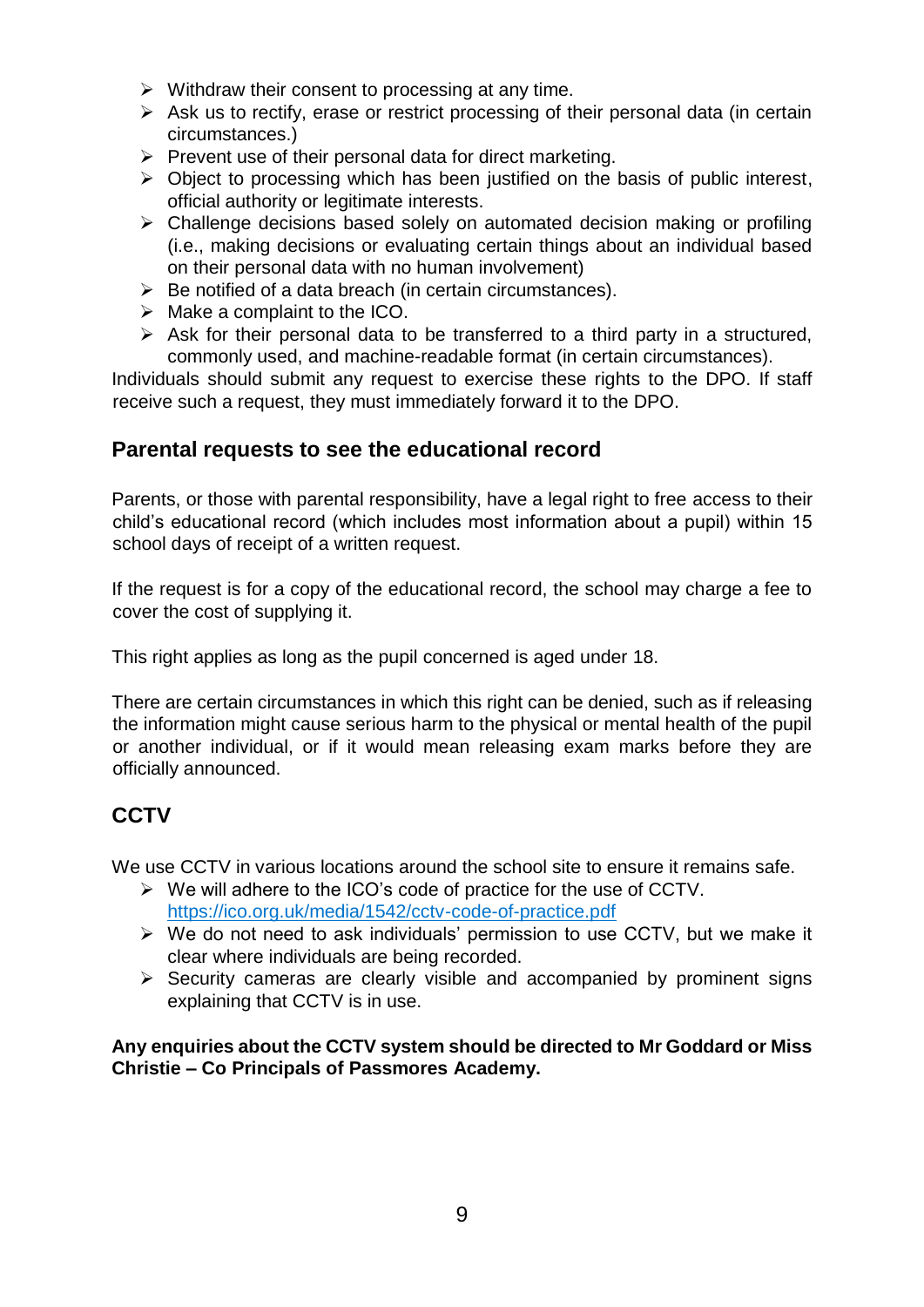- $\triangleright$  Withdraw their consent to processing at any time.
- $\triangleright$  Ask us to rectify, erase or restrict processing of their personal data (in certain circumstances.)
- $\triangleright$  Prevent use of their personal data for direct marketing.
- $\triangleright$  Object to processing which has been justified on the basis of public interest, official authority or legitimate interests.
- ➢ Challenge decisions based solely on automated decision making or profiling (i.e., making decisions or evaluating certain things about an individual based on their personal data with no human involvement)
- $\triangleright$  Be notified of a data breach (in certain circumstances).
- $\triangleright$  Make a complaint to the ICO.
- $\triangleright$  Ask for their personal data to be transferred to a third party in a structured, commonly used, and machine-readable format (in certain circumstances).

Individuals should submit any request to exercise these rights to the DPO. If staff receive such a request, they must immediately forward it to the DPO.

### **Parental requests to see the educational record**

Parents, or those with parental responsibility, have a legal right to free access to their child's educational record (which includes most information about a pupil) within 15 school days of receipt of a written request.

If the request is for a copy of the educational record, the school may charge a fee to cover the cost of supplying it.

This right applies as long as the pupil concerned is aged under 18.

There are certain circumstances in which this right can be denied, such as if releasing the information might cause serious harm to the physical or mental health of the pupil or another individual, or if it would mean releasing exam marks before they are officially announced.

# **CCTV**

We use CCTV in various locations around the school site to ensure it remains safe.

- ➢ We will adhere to the ICO's code of practice for the use of CCTV. <https://ico.org.uk/media/1542/cctv-code-of-practice.pdf>
- ➢ We do not need to ask individuals' permission to use CCTV, but we make it clear where individuals are being recorded.
- ➢ Security cameras are clearly visible and accompanied by prominent signs explaining that CCTV is in use.

**Any enquiries about the CCTV system should be directed to Mr Goddard or Miss Christie – Co Principals of Passmores Academy.**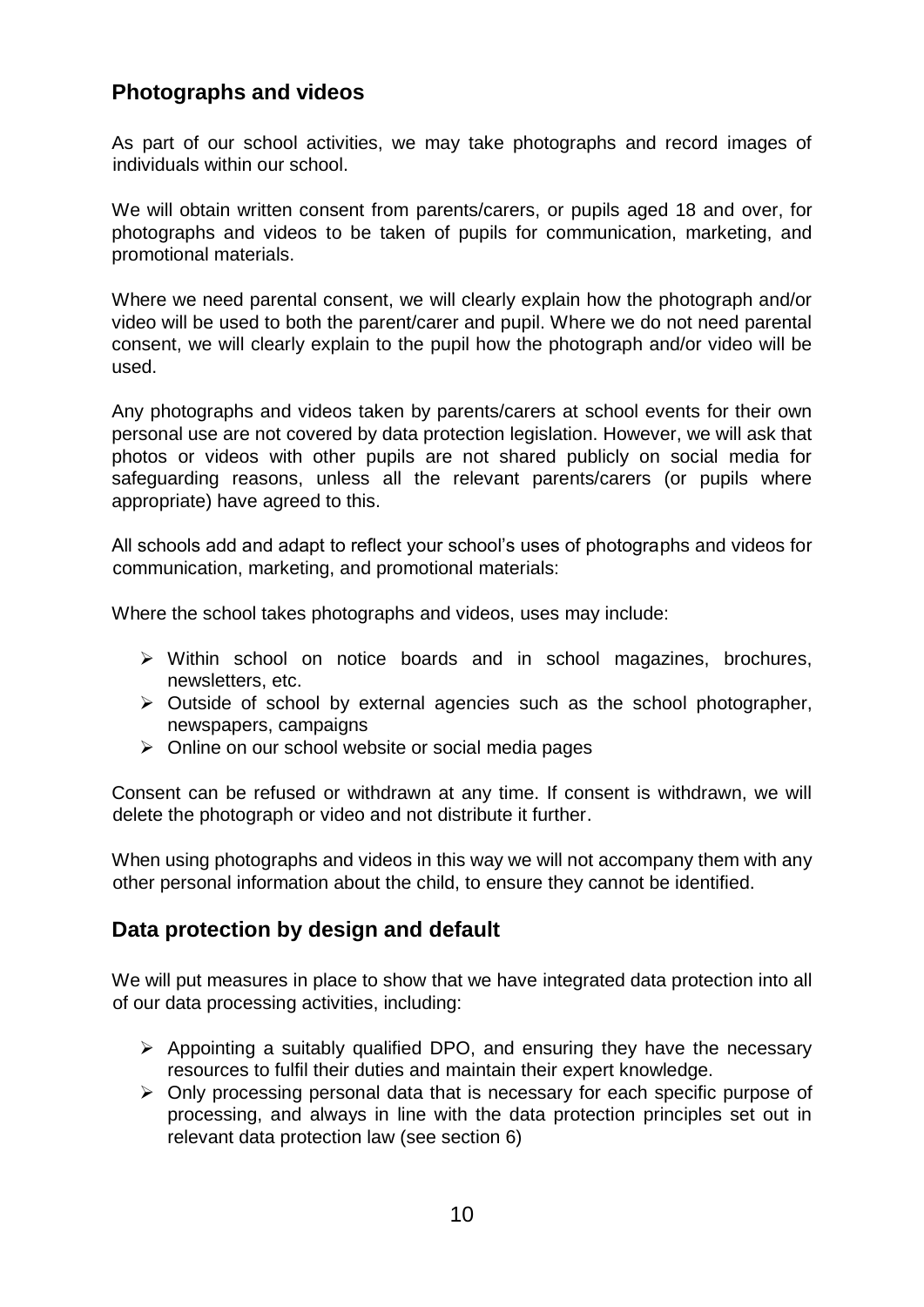## **Photographs and videos**

As part of our school activities, we may take photographs and record images of individuals within our school.

We will obtain written consent from parents/carers, or pupils aged 18 and over, for photographs and videos to be taken of pupils for communication, marketing, and promotional materials.

Where we need parental consent, we will clearly explain how the photograph and/or video will be used to both the parent/carer and pupil. Where we do not need parental consent, we will clearly explain to the pupil how the photograph and/or video will be used.

Any photographs and videos taken by parents/carers at school events for their own personal use are not covered by data protection legislation. However, we will ask that photos or videos with other pupils are not shared publicly on social media for safeguarding reasons, unless all the relevant parents/carers (or pupils where appropriate) have agreed to this.

All schools add and adapt to reflect your school's uses of photographs and videos for communication, marketing, and promotional materials:

Where the school takes photographs and videos, uses may include:

- ➢ Within school on notice boards and in school magazines, brochures, newsletters, etc.
- ➢ Outside of school by external agencies such as the school photographer, newspapers, campaigns
- ➢ Online on our school website or social media pages

Consent can be refused or withdrawn at any time. If consent is withdrawn, we will delete the photograph or video and not distribute it further.

When using photographs and videos in this way we will not accompany them with any other personal information about the child, to ensure they cannot be identified.

### **Data protection by design and default**

We will put measures in place to show that we have integrated data protection into all of our data processing activities, including:

- ➢ Appointing a suitably qualified DPO, and ensuring they have the necessary resources to fulfil their duties and maintain their expert knowledge.
- ➢ Only processing personal data that is necessary for each specific purpose of processing, and always in line with the data protection principles set out in relevant data protection law (see section 6)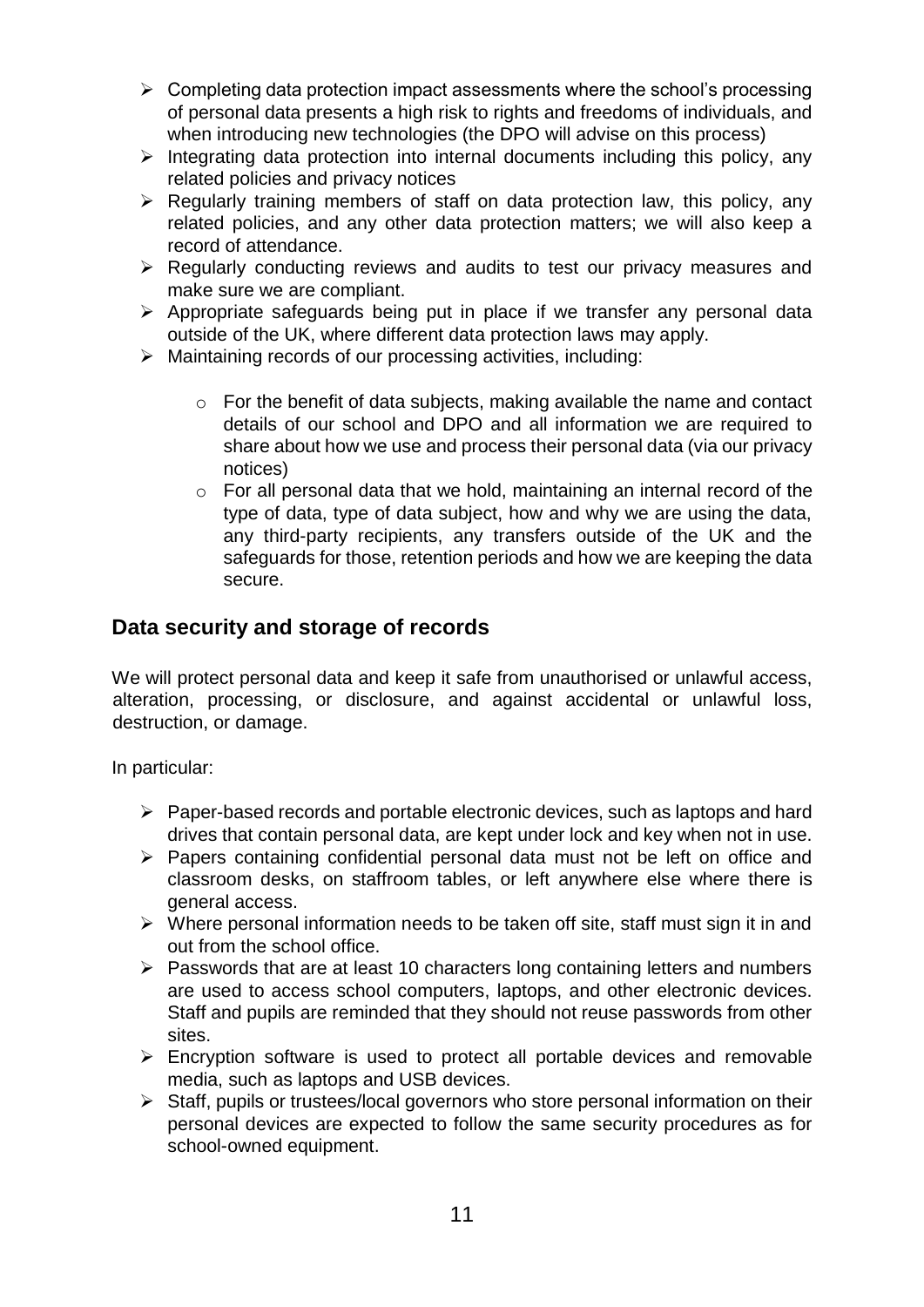- $\triangleright$  Completing data protection impact assessments where the school's processing of personal data presents a high risk to rights and freedoms of individuals, and when introducing new technologies (the DPO will advise on this process)
- $\triangleright$  Integrating data protection into internal documents including this policy, any related policies and privacy notices
- ➢ Regularly training members of staff on data protection law, this policy, any related policies, and any other data protection matters; we will also keep a record of attendance.
- ➢ Regularly conducting reviews and audits to test our privacy measures and make sure we are compliant.
- ➢ Appropriate safeguards being put in place if we transfer any personal data outside of the UK, where different data protection laws may apply.
- ➢ Maintaining records of our processing activities, including:
	- o For the benefit of data subjects, making available the name and contact details of our school and DPO and all information we are required to share about how we use and process their personal data (via our privacy notices)
	- $\circ$  For all personal data that we hold, maintaining an internal record of the type of data, type of data subject, how and why we are using the data, any third-party recipients, any transfers outside of the UK and the safeguards for those, retention periods and how we are keeping the data secure.

## **Data security and storage of records**

We will protect personal data and keep it safe from unauthorised or unlawful access, alteration, processing, or disclosure, and against accidental or unlawful loss, destruction, or damage.

In particular:

- ➢ Paper-based records and portable electronic devices, such as laptops and hard drives that contain personal data, are kept under lock and key when not in use.
- ➢ Papers containing confidential personal data must not be left on office and classroom desks, on staffroom tables, or left anywhere else where there is general access.
- $\triangleright$  Where personal information needs to be taken off site, staff must sign it in and out from the school office.
- ➢ Passwords that are at least 10 characters long containing letters and numbers are used to access school computers, laptops, and other electronic devices. Staff and pupils are reminded that they should not reuse passwords from other sites.
- ➢ Encryption software is used to protect all portable devices and removable media, such as laptops and USB devices.
- ➢ Staff, pupils or trustees/local governors who store personal information on their personal devices are expected to follow the same security procedures as for school-owned equipment.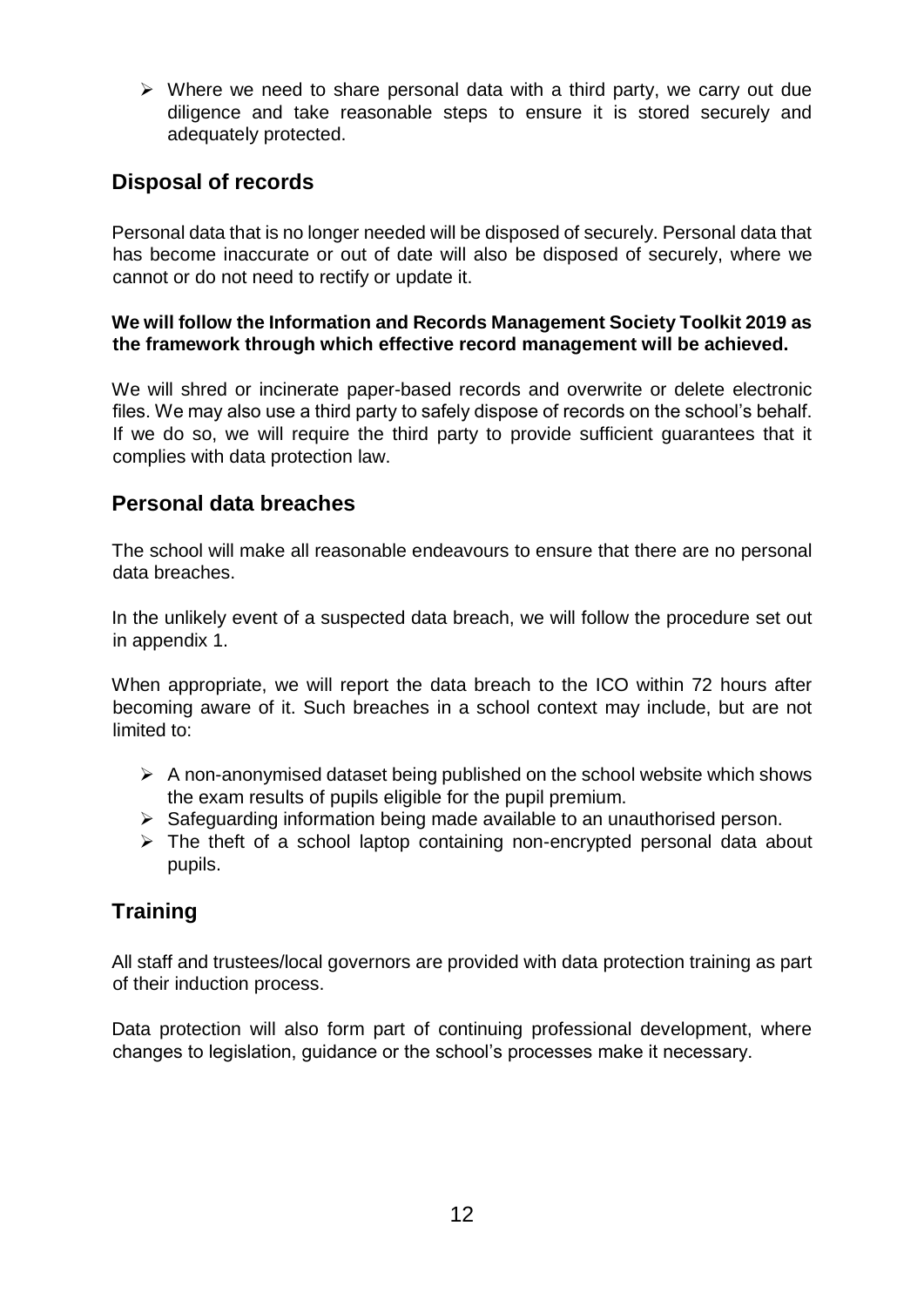$\triangleright$  Where we need to share personal data with a third party, we carry out due diligence and take reasonable steps to ensure it is stored securely and adequately protected.

# **Disposal of records**

Personal data that is no longer needed will be disposed of securely. Personal data that has become inaccurate or out of date will also be disposed of securely, where we cannot or do not need to rectify or update it.

### **We will follow the Information and Records Management Society Toolkit 2019 as the framework through which effective record management will be achieved.**

We will shred or incinerate paper-based records and overwrite or delete electronic files. We may also use a third party to safely dispose of records on the school's behalf. If we do so, we will require the third party to provide sufficient guarantees that it complies with data protection law.

## **Personal data breaches**

The school will make all reasonable endeavours to ensure that there are no personal data breaches.

In the unlikely event of a suspected data breach, we will follow the procedure set out in appendix 1.

When appropriate, we will report the data breach to the ICO within 72 hours after becoming aware of it. Such breaches in a school context may include, but are not limited to:

- $\triangleright$  A non-anonymised dataset being published on the school website which shows the exam results of pupils eligible for the pupil premium.
- ➢ Safeguarding information being made available to an unauthorised person.
- $\triangleright$  The theft of a school laptop containing non-encrypted personal data about pupils.

# **Training**

All staff and trustees/local governors are provided with data protection training as part of their induction process.

Data protection will also form part of continuing professional development, where changes to legislation, guidance or the school's processes make it necessary.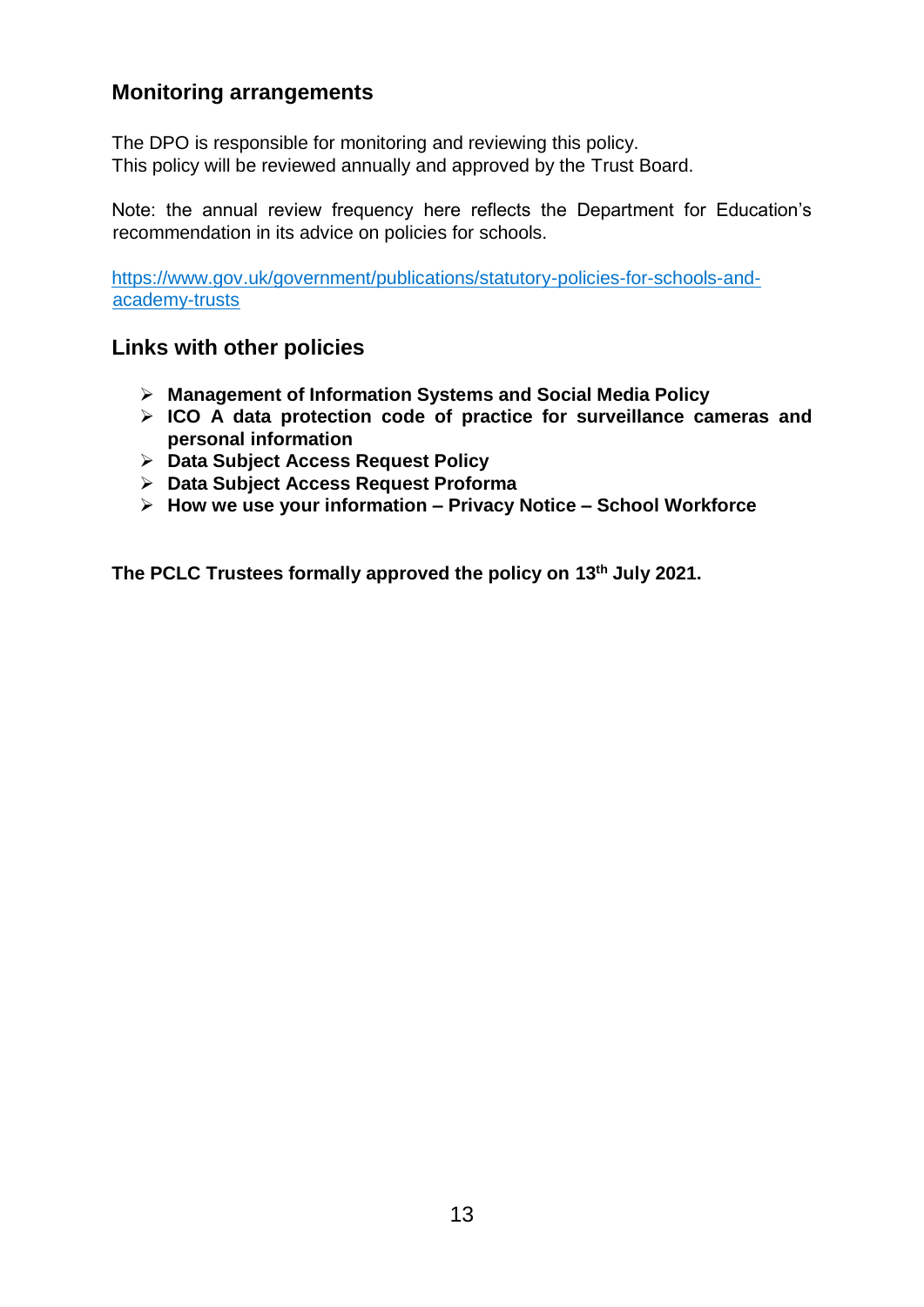## **Monitoring arrangements**

The DPO is responsible for monitoring and reviewing this policy. This policy will be reviewed annually and approved by the Trust Board.

Note: the annual review frequency here reflects the Department for Education's recommendation in its advice on policies for schools.

[https://www.gov.uk/government/publications/statutory-policies-for-schools-and](https://www.gov.uk/government/publications/statutory-policies-for-schools-and-academy-trusts)[academy-trusts](https://www.gov.uk/government/publications/statutory-policies-for-schools-and-academy-trusts)

### **Links with other policies**

- ➢ **Management of Information Systems and Social Media Policy**
- ➢ **ICO A data protection code of practice for surveillance cameras and personal information**
- ➢ **Data Subject Access Request Policy**
- ➢ **Data Subject Access Request Proforma**
- ➢ **How we use your information – Privacy Notice – School Workforce**

**The PCLC Trustees formally approved the policy on 13th July 2021.**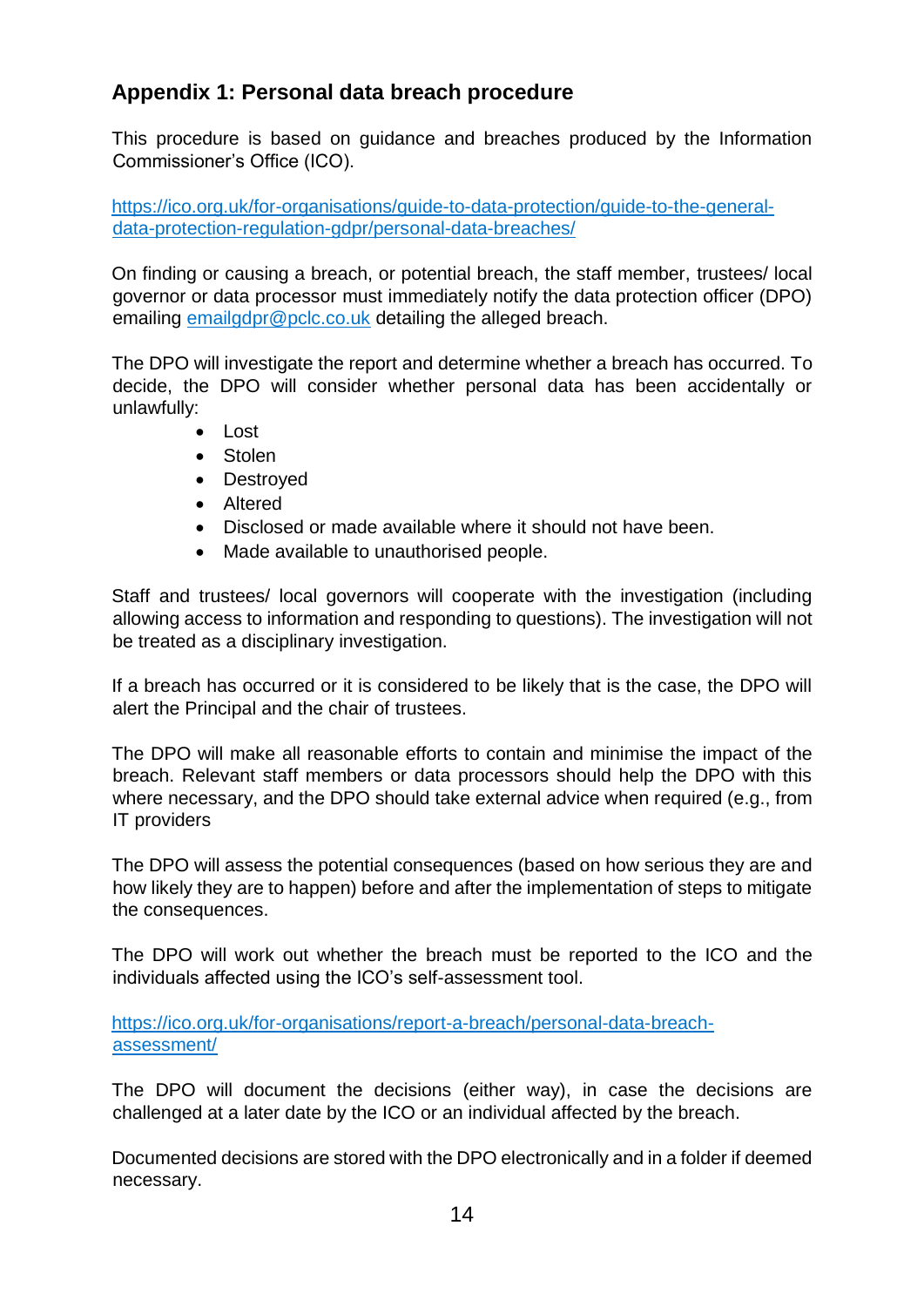# **Appendix 1: Personal data breach procedure**

This procedure is based on guidance and breaches produced by the Information Commissioner's Office (ICO).

[https://ico.org.uk/for-organisations/guide-to-data-protection/guide-to-the-general](https://ico.org.uk/for-organisations/guide-to-data-protection/guide-to-the-general-data-protection-regulation-gdpr/personal-data-breaches/)[data-protection-regulation-gdpr/personal-data-breaches/](https://ico.org.uk/for-organisations/guide-to-data-protection/guide-to-the-general-data-protection-regulation-gdpr/personal-data-breaches/)

On finding or causing a breach, or potential breach, the staff member, trustees/ local governor or data processor must immediately notify the data protection officer (DPO) emailing [emailgdpr@pclc.co.uk](mailto:emailgdpr@pclc.co.uk) detailing the alleged breach.

The DPO will investigate the report and determine whether a breach has occurred. To decide, the DPO will consider whether personal data has been accidentally or unlawfully:

- Lost
- Stolen
- Destroyed
- Altered
- Disclosed or made available where it should not have been.
- Made available to unauthorised people.

Staff and trustees/ local governors will cooperate with the investigation (including allowing access to information and responding to questions). The investigation will not be treated as a disciplinary investigation.

If a breach has occurred or it is considered to be likely that is the case, the DPO will alert the Principal and the chair of trustees.

The DPO will make all reasonable efforts to contain and minimise the impact of the breach. Relevant staff members or data processors should help the DPO with this where necessary, and the DPO should take external advice when required (e.g., from IT providers

The DPO will assess the potential consequences (based on how serious they are and how likely they are to happen) before and after the implementation of steps to mitigate the consequences.

The DPO will work out whether the breach must be reported to the ICO and the individuals affected using the ICO's self-assessment tool.

[https://ico.org.uk/for-organisations/report-a-breach/personal-data-breach](https://ico.org.uk/for-organisations/report-a-breach/personal-data-breach-assessment/)[assessment/](https://ico.org.uk/for-organisations/report-a-breach/personal-data-breach-assessment/)

The DPO will document the decisions (either way), in case the decisions are challenged at a later date by the ICO or an individual affected by the breach.

Documented decisions are stored with the DPO electronically and in a folder if deemed necessary.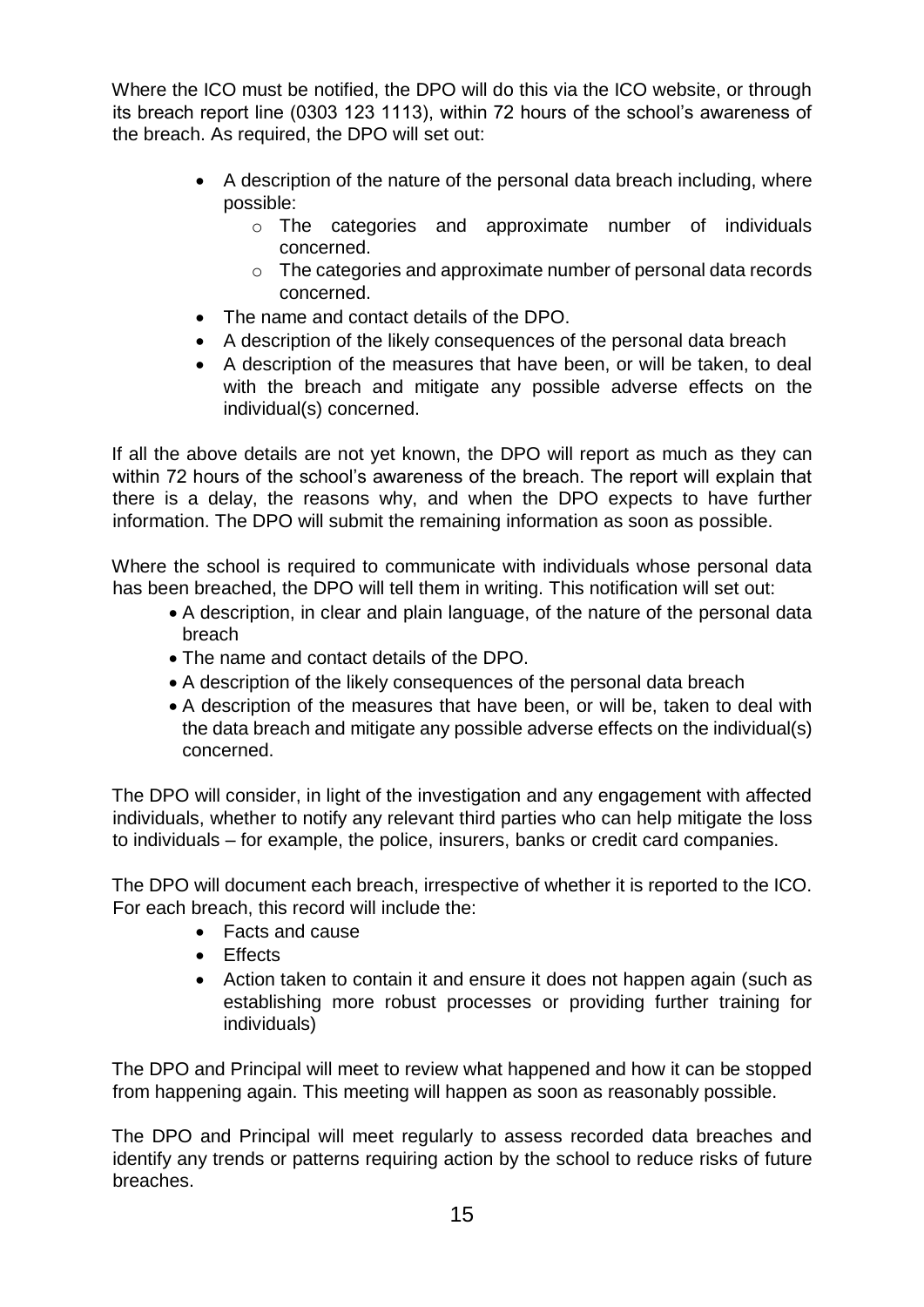Where the ICO must be notified, the DPO will do this via the ICO website, or through its breach report line (0303 123 1113), within 72 hours of the school's awareness of the breach. As required, the DPO will set out:

- A description of the nature of the personal data breach including, where possible:
	- o The categories and approximate number of individuals concerned.
	- o The categories and approximate number of personal data records concerned.
- The name and contact details of the DPO.
- A description of the likely consequences of the personal data breach
- A description of the measures that have been, or will be taken, to deal with the breach and mitigate any possible adverse effects on the individual(s) concerned.

If all the above details are not yet known, the DPO will report as much as they can within 72 hours of the school's awareness of the breach. The report will explain that there is a delay, the reasons why, and when the DPO expects to have further information. The DPO will submit the remaining information as soon as possible.

Where the school is required to communicate with individuals whose personal data has been breached, the DPO will tell them in writing. This notification will set out:

- A description, in clear and plain language, of the nature of the personal data breach
- The name and contact details of the DPO.
- A description of the likely consequences of the personal data breach
- A description of the measures that have been, or will be, taken to deal with the data breach and mitigate any possible adverse effects on the individual(s) concerned.

The DPO will consider, in light of the investigation and any engagement with affected individuals, whether to notify any relevant third parties who can help mitigate the loss to individuals – for example, the police, insurers, banks or credit card companies.

The DPO will document each breach, irrespective of whether it is reported to the ICO. For each breach, this record will include the:

- Facts and cause
- Effects
- Action taken to contain it and ensure it does not happen again (such as establishing more robust processes or providing further training for individuals)

The DPO and Principal will meet to review what happened and how it can be stopped from happening again. This meeting will happen as soon as reasonably possible.

The DPO and Principal will meet regularly to assess recorded data breaches and identify any trends or patterns requiring action by the school to reduce risks of future breaches.